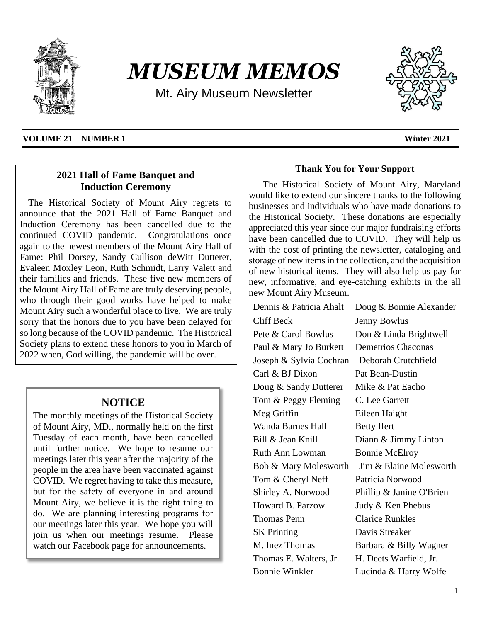

# *MUSEUM MEMOS*

Mt. Airy Museum Newsletter



#### **VOLUME 21 NUMBER 1 Winter 2021**

#### **2021 Hall of Fame Banquet and Induction Ceremony**

The Historical Society of Mount Airy regrets to announce that the 2021 Hall of Fame Banquet and Induction Ceremony has been cancelled due to the continued COVID pandemic. Congratulations once again to the newest members of the Mount Airy Hall of Fame: Phil Dorsey, Sandy Cullison deWitt Dutterer, Evaleen Moxley Leon, Ruth Schmidt, Larry Valett and their families and friends. These five new members of the Mount Airy Hall of Fame are truly deserving people, who through their good works have helped to make Mount Airy such a wonderful place to live. We are truly sorry that the honors due to you have been delayed for so long because of the COVID pandemic. The Historical Society plans to extend these honors to you in March of 2022 when, God willing, the pandemic will be over.

#### **NOTICE**

The monthly meetings of the Historical Society of Mount Airy, MD., normally held on the first Tuesday of each month, have been cancelled until further notice. We hope to resume our meetings later this year after the majority of the people in the area have been vaccinated against COVID. We regret having to take this measure, but for the safety of everyone in and around Mount Airy, we believe it is the right thing to do. We are planning interesting programs for our meetings later this year. We hope you will join us when our meetings resume. Please watch our Facebook page for announcements.

#### **Thank You for Your Support**

The Historical Society of Mount Airy, Maryland would like to extend our sincere thanks to the following businesses and individuals who have made donations to the Historical Society. These donations are especially appreciated this year since our major fundraising efforts have been cancelled due to COVID. They will help us with the cost of printing the newsletter, cataloging and storage of new items in the collection, and the acquisition of new historical items. They will also help us pay for new, informative, and eye-catching exhibits in the all new Mount Airy Museum.

Dennis & Patricia Ahalt Doug & Bonnie Alexander Cliff Beck Jenny Bowlus Pete & Carol Bowlus Don & Linda Brightwell Paul & Mary Jo Burkett Demetrios Chaconas Joseph & Sylvia Cochran Deborah Crutchfield Carl & BJ Dixon Pat Bean-Dustin Doug & Sandy Dutterer Mike & Pat Eacho Tom & Peggy Fleming C. Lee Garrett Meg Griffin Eileen Haight Wanda Barnes Hall Betty Ifert Bill & Jean Knill Diann & Jimmy Linton Ruth Ann Lowman Bonnie McElroy Bob & Mary Molesworth Jim & Elaine Molesworth Tom & Cheryl Neff Patricia Norwood Shirley A. Norwood Phillip & Janine O'Brien Howard B. Parzow Judy & Ken Phebus Thomas Penn Clarice Runkles SK Printing Davis Streaker M. Inez Thomas Barbara & Billy Wagner Thomas E. Walters, Jr. H. Deets Warfield, Jr. Bonnie Winkler Lucinda & Harry Wolfe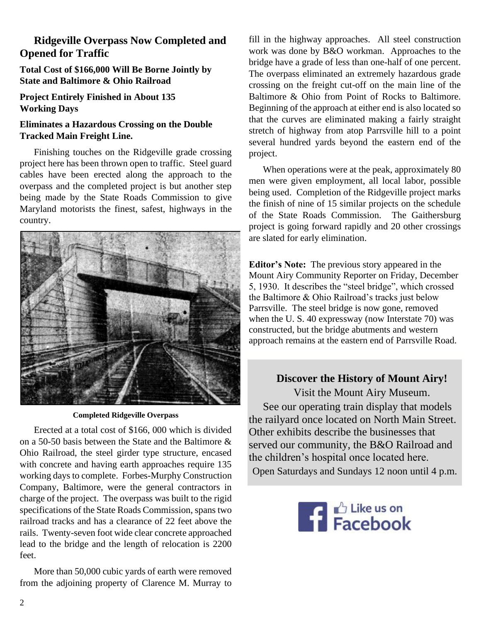## **Ridgeville Overpass Now Completed and Opened for Traffic**

**Total Cost of \$166,000 Will Be Borne Jointly by State and Baltimore & Ohio Railroad**

**Project Entirely Finished in About 135 Working Days**

#### **Eliminates a Hazardous Crossing on the Double Tracked Main Freight Line.**

Finishing touches on the Ridgeville grade crossing project here has been thrown open to traffic. Steel guard cables have been erected along the approach to the overpass and the completed project is but another step being made by the State Roads Commission to give Maryland motorists the finest, safest, highways in the country.



**Completed Ridgeville Overpass**

Erected at a total cost of \$166, 000 which is divided on a 50-50 basis between the State and the Baltimore & Ohio Railroad, the steel girder type structure, encased with concrete and having earth approaches require 135 working days to complete. Forbes-Murphy Construction Company, Baltimore, were the general contractors in charge of the project. The overpass was built to the rigid specifications of the State Roads Commission, spans two railroad tracks and has a clearance of 22 feet above the rails. Twenty-seven foot wide clear concrete approached lead to the bridge and the length of relocation is 2200 feet.

More than 50,000 cubic yards of earth were removed from the adjoining property of Clarence M. Murray to

fill in the highway approaches. All steel construction work was done by B&O workman. Approaches to the bridge have a grade of less than one-half of one percent. The overpass eliminated an extremely hazardous grade crossing on the freight cut-off on the main line of the Baltimore & Ohio from Point of Rocks to Baltimore. Beginning of the approach at either end is also located so that the curves are eliminated making a fairly straight stretch of highway from atop Parrsville hill to a point several hundred yards beyond the eastern end of the project.

When operations were at the peak, approximately 80 men were given employment, all local labor, possible being used. Completion of the Ridgeville project marks the finish of nine of 15 similar projects on the schedule of the State Roads Commission. The Gaithersburg project is going forward rapidly and 20 other crossings are slated for early elimination.

**Editor's Note:** The previous story appeared in the Mount Airy Community Reporter on Friday, December 5, 1930. It describes the "steel bridge", which crossed the Baltimore & Ohio Railroad's tracks just below Parrsville. The steel bridge is now gone, removed when the U. S. 40 expressway (now Interstate 70) was constructed, but the bridge abutments and western approach remains at the eastern end of Parrsville Road.

## **Discover the History of Mount Airy!**

Visit the Mount Airy Museum. See our operating train display that models the railyard once located on North Main Street. Other exhibits describe the businesses that served our community, the B&O Railroad and the children's hospital once located here. Open Saturdays and Sundays 12 noon until 4 p.m.

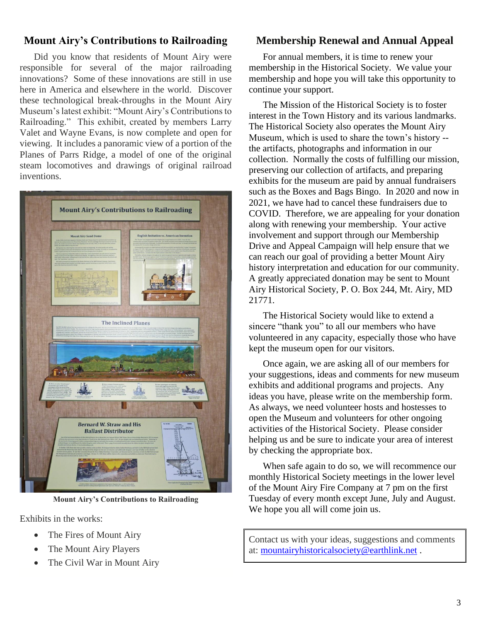## **Mount Airy's Contributions to Railroading**

Did you know that residents of Mount Airy were responsible for several of the major railroading innovations? Some of these innovations are still in use here in America and elsewhere in the world. Discover these technological break-throughs in the Mount Airy Museum's latest exhibit: "Mount Airy's Contributions to Railroading." This exhibit, created by members Larry Valet and Wayne Evans, is now complete and open for viewing. It includes a panoramic view of a portion of the Planes of Parrs Ridge, a model of one of the original steam locomotives and drawings of original railroad inventions.



**Mount Airy's Contributions to Railroading**

Exhibits in the works:

- The Fires of Mount Airy
- The Mount Airy Players
- The Civil War in Mount Airy

## **Membership Renewal and Annual Appeal**

For annual members, it is time to renew your membership in the Historical Society. We value your membership and hope you will take this opportunity to continue your support.

The Mission of the Historical Society is to foster interest in the Town History and its various landmarks. The Historical Society also operates the Mount Airy Museum, which is used to share the town's history - the artifacts, photographs and information in our collection. Normally the costs of fulfilling our mission, preserving our collection of artifacts, and preparing exhibits for the museum are paid by annual fundraisers such as the Boxes and Bags Bingo. In 2020 and now in 2021, we have had to cancel these fundraisers due to COVID. Therefore, we are appealing for your donation along with renewing your membership. Your active involvement and support through our Membership Drive and Appeal Campaign will help ensure that we can reach our goal of providing a better Mount Airy history interpretation and education for our community. A greatly appreciated donation may be sent to Mount Airy Historical Society, P. O. Box 244, Mt. Airy, MD 21771.

The Historical Society would like to extend a sincere "thank you" to all our members who have volunteered in any capacity, especially those who have kept the museum open for our visitors.

Once again, we are asking all of our members for your suggestions, ideas and comments for new museum exhibits and additional programs and projects. Any ideas you have, please write on the membership form. As always, we need volunteer hosts and hostesses to open the Museum and volunteers for other ongoing activities of the Historical Society. Please consider helping us and be sure to indicate your area of interest by checking the appropriate box.

When safe again to do so, we will recommence our monthly Historical Society meetings in the lower level of the Mount Airy Fire Company at 7 pm on the first Tuesday of every month except June, July and August. We hope you all will come join us.

Contact us with your ideas, suggestions and comments at: [mountairyhistoricalsociety@earthlink.net](mailto:mountairyhistoricalsociety@earthlink.net) .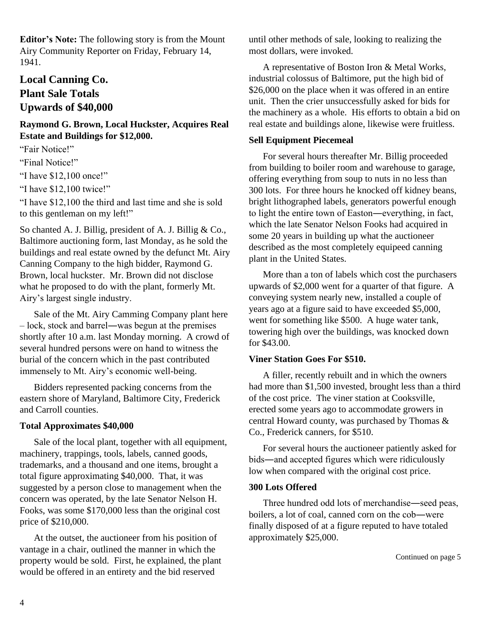**Editor's Note:** The following story is from the Mount Airy Community Reporter on Friday, February 14, 1941.

## **Local Canning Co. Plant Sale Totals Upwards of \$40,000**

#### **Raymond G. Brown, Local Huckster, Acquires Real Estate and Buildings for \$12,000.**

"Fair Notice!"

"Final Notice!"

"I have \$12,100 once!"

"I have \$12,100 twice!"

"I have \$12,100 the third and last time and she is sold to this gentleman on my left!"

So chanted A. J. Billig, president of A. J. Billig & Co., Baltimore auctioning form, last Monday, as he sold the buildings and real estate owned by the defunct Mt. Airy Canning Company to the high bidder, Raymond G. Brown, local huckster. Mr. Brown did not disclose what he proposed to do with the plant, formerly Mt. Airy's largest single industry.

Sale of the Mt. Airy Camming Company plant here – lock, stock and barrel―was begun at the premises shortly after 10 a.m. last Monday morning. A crowd of several hundred persons were on hand to witness the burial of the concern which in the past contributed immensely to Mt. Airy's economic well-being.

Bidders represented packing concerns from the eastern shore of Maryland, Baltimore City, Frederick and Carroll counties.

#### **Total Approximates \$40,000**

Sale of the local plant, together with all equipment, machinery, trappings, tools, labels, canned goods, trademarks, and a thousand and one items, brought a total figure approximating \$40,000. That, it was suggested by a person close to management when the concern was operated, by the late Senator Nelson H. Fooks, was some \$170,000 less than the original cost price of \$210,000.

At the outset, the auctioneer from his position of vantage in a chair, outlined the manner in which the property would be sold. First, he explained, the plant would be offered in an entirety and the bid reserved

until other methods of sale, looking to realizing the most dollars, were invoked.

A representative of Boston Iron & Metal Works, industrial colossus of Baltimore, put the high bid of \$26,000 on the place when it was offered in an entire unit. Then the crier unsuccessfully asked for bids for the machinery as a whole. His efforts to obtain a bid on real estate and buildings alone, likewise were fruitless.

#### **Sell Equipment Piecemeal**

For several hours thereafter Mr. Billig proceeded from building to boiler room and warehouse to garage, offering everything from soup to nuts in no less than 300 lots. For three hours he knocked off kidney beans, bright lithographed labels, generators powerful enough to light the entire town of Easton―everything, in fact, which the late Senator Nelson Fooks had acquired in some 20 years in building up what the auctioneer described as the most completely equipeed canning plant in the United States.

More than a ton of labels which cost the purchasers upwards of \$2,000 went for a quarter of that figure. A conveying system nearly new, installed a couple of years ago at a figure said to have exceeded \$5,000, went for something like \$500. A huge water tank, towering high over the buildings, was knocked down for \$43.00.

#### **Viner Station Goes For \$510.**

A filler, recently rebuilt and in which the owners had more than \$1,500 invested, brought less than a third of the cost price. The viner station at Cooksville, erected some years ago to accommodate growers in central Howard county, was purchased by Thomas & Co., Frederick canners, for \$510.

For several hours the auctioneer patiently asked for bids―and accepted figures which were ridiculously low when compared with the original cost price.

#### **300 Lots Offered**

Three hundred odd lots of merchandise―seed peas, boilers, a lot of coal, canned corn on the cob―were finally disposed of at a figure reputed to have totaled approximately \$25,000.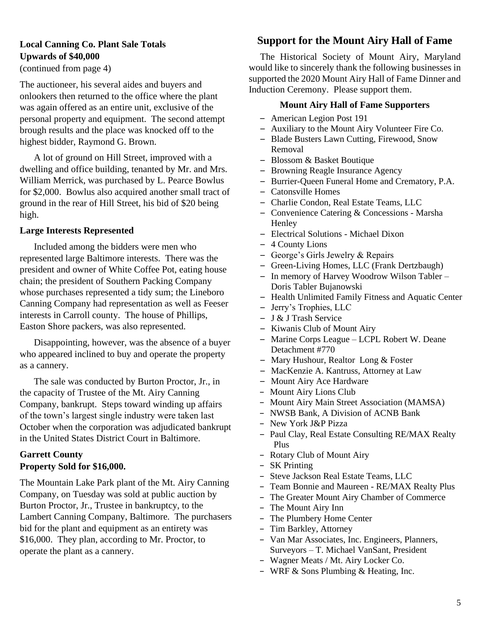### **Local Canning Co. Plant Sale Totals Upwards of \$40,000**

(continued from page 4)

The auctioneer, his several aides and buyers and onlookers then returned to the office where the plant was again offered as an entire unit, exclusive of the personal property and equipment. The second attempt brough results and the place was knocked off to the highest bidder, Raymond G. Brown.

A lot of ground on Hill Street, improved with a dwelling and office building, tenanted by Mr. and Mrs. William Merrick, was purchased by L. Pearce Bowlus for \$2,000. Bowlus also acquired another small tract of ground in the rear of Hill Street, his bid of \$20 being high.

#### **Large Interests Represented**

Included among the bidders were men who represented large Baltimore interests. There was the president and owner of White Coffee Pot, eating house chain; the president of Southern Packing Company whose purchases represented a tidy sum; the Lineboro Canning Company had representation as well as Feeser interests in Carroll county. The house of Phillips, Easton Shore packers, was also represented.

Disappointing, however, was the absence of a buyer who appeared inclined to buy and operate the property as a cannery.

The sale was conducted by Burton Proctor, Jr., in the capacity of Trustee of the Mt. Airy Canning Company, bankrupt. Steps toward winding up affairs of the town's largest single industry were taken last October when the corporation was adjudicated bankrupt in the United States District Court in Baltimore.

#### **Garrett County Property Sold for \$16,000.**

The Mountain Lake Park plant of the Mt. Airy Canning Company, on Tuesday was sold at public auction by Burton Proctor, Jr., Trustee in bankruptcy, to the Lambert Canning Company, Baltimore. The purchasers bid for the plant and equipment as an entirety was \$16,000. They plan, according to Mr. Proctor, to operate the plant as a cannery.

## **Support for the Mount Airy Hall of Fame**

The Historical Society of Mount Airy, Maryland would like to sincerely thank the following businesses in supported the 2020 Mount Airy Hall of Fame Dinner and Induction Ceremony. Please support them.

#### **Mount Airy Hall of Fame Supporters**

- American Legion Post 191
- Auxiliary to the Mount Airy Volunteer Fire Co.
- Blade Busters Lawn Cutting, Firewood, Snow Removal
- Blossom & Basket Boutique
- Browning Reagle Insurance Agency
- Burrier-Queen Funeral Home and Crematory, P.A.
- Catonsville Homes
- Charlie Condon, Real Estate Teams, LLC
- Convenience Catering & Concessions Marsha **Henley**
- Electrical Solutions Michael Dixon
- 4 County Lions
- George's Girls Jewelry & Repairs
- Green-Living Homes, LLC (Frank Dertzbaugh)
- In memory of Harvey Woodrow Wilson Tabler Doris Tabler Bujanowski
- Health Unlimited Family Fitness and Aquatic Center
- Jerry's Trophies, LLC
- J & J Trash Service
- Kiwanis Club of Mount Airy
- Marine Corps League LCPL Robert W. Deane Detachment #770
- Mary Hushour, Realtor Long & Foster
- MacKenzie A. Kantruss, Attorney at Law
- Mount Airy Ace Hardware
- Mount Airy Lions Club
- Mount Airy Main Street Association (MAMSA)
- NWSB Bank, A Division of ACNB Bank
- New York J&P Pizza
- Paul Clay, Real Estate Consulting RE/MAX Realty Plus
- Rotary Club of Mount Airy
- SK Printing
- Steve Jackson Real Estate Teams, LLC
- Team Bonnie and Maureen RE/MAX Realty Plus
- The Greater Mount Airy Chamber of Commerce
- The Mount Airy Inn
- The Plumbery Home Center
- Tim Barkley, Attorney
- Van Mar Associates, Inc. Engineers, Planners, Surveyors – T. Michael VanSant, President
- Wagner Meats / Mt. Airy Locker Co.
- WRF & Sons Plumbing & Heating, Inc.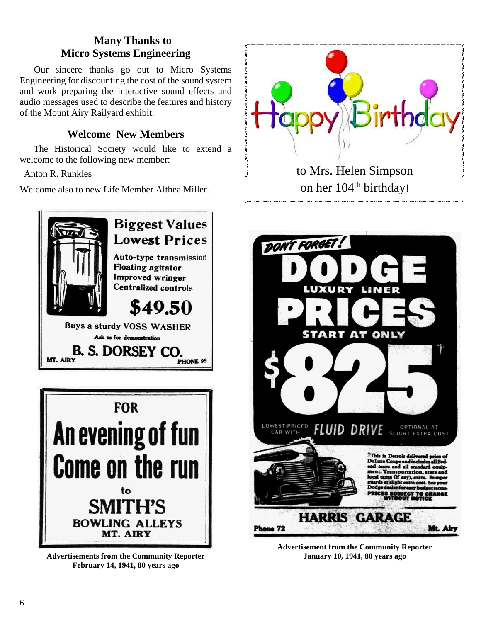## **Many Thanks to Micro Systems Engineering**

Our sincere thanks go out to Micro Systems Engineering for discounting the cost of the sound system and work preparing the interactive sound effects and audio messages used to describe the features and history of the Mount Airy Railyard exhibit.

## **Welcome New Members**

The Historical Society would like to extend a welcome to the following new member:

Anton R. Runkles

Welcome also to new Life Member Althea Miller.



tη **SMITH'S BOWLING ALLEYS** MT. AIRY

**Advertisements from the Community Reporter February 14, 1941, 80 years ago**





**Advertisement from the Community Reporter January 10, 1941, 80 years ago**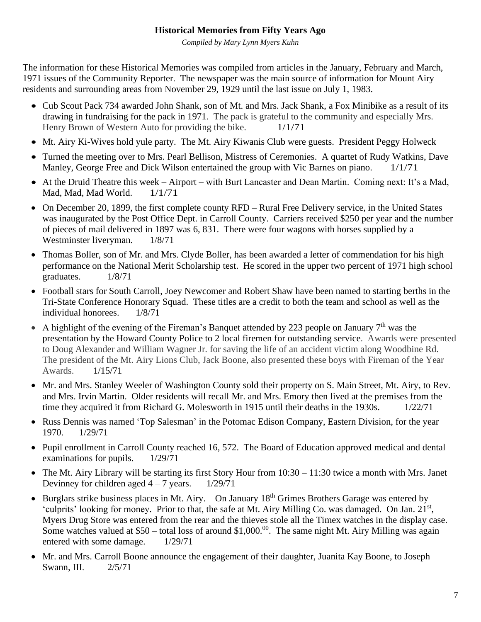#### **Historical Memories from Fifty Years Ago**

*Compiled by Mary Lynn Myers Kuhn*

The information for these Historical Memories was compiled from articles in the January, February and March, 1971 issues of the Community Reporter. The newspaper was the main source of information for Mount Airy residents and surrounding areas from November 29, 1929 until the last issue on July 1, 1983.

- Cub Scout Pack 734 awarded John Shank, son of Mt. and Mrs. Jack Shank, a Fox Minibike as a result of its drawing in fundraising for the pack in 1971. The pack is grateful to the community and especially Mrs. Henry Brown of Western Auto for providing the bike.  $1/1/71$
- Mt. Airy Ki-Wives hold yule party. The Mt. Airy Kiwanis Club were guests. President Peggy Holweck
- Turned the meeting over to Mrs. Pearl Bellison, Mistress of Ceremonies. A quartet of Rudy Watkins, Dave Manley, George Free and Dick Wilson entertained the group with Vic Barnes on piano. 1/1/71
- At the Druid Theatre this week Airport with Burt Lancaster and Dean Martin. Coming next: It's a Mad, Mad, Mad, Mad World.  $1/1/71$
- On December 20, 1899, the first complete county RFD Rural Free Delivery service, in the United States was inaugurated by the Post Office Dept. in Carroll County. Carriers received \$250 per year and the number of pieces of mail delivered in 1897 was 6, 831. There were four wagons with horses supplied by a Westminster liveryman. 1/8/71
- Thomas Boller, son of Mr. and Mrs. Clyde Boller, has been awarded a letter of commendation for his high performance on the National Merit Scholarship test. He scored in the upper two percent of 1971 high school graduates. 1/8/71
- Football stars for South Carroll, Joey Newcomer and Robert Shaw have been named to starting berths in the Tri-State Conference Honorary Squad. These titles are a credit to both the team and school as well as the individual honorees. 1/8/71
- A highlight of the evening of the Fireman's Banquet attended by 223 people on January  $7<sup>th</sup>$  was the presentation by the Howard County Police to 2 local firemen for outstanding service. Awards were presented to Doug Alexander and William Wagner Jr. for saving the life of an accident victim along Woodbine Rd. The president of the Mt. Airy Lions Club, Jack Boone, also presented these boys with Fireman of the Year Awards. 1/15/71
- Mr. and Mrs. Stanley Weeler of Washington County sold their property on S. Main Street, Mt. Airy, to Rev. and Mrs. Irvin Martin. Older residents will recall Mr. and Mrs. Emory then lived at the premises from the time they acquired it from Richard G. Molesworth in 1915 until their deaths in the 1930s.  $1/22/71$
- Russ Dennis was named 'Top Salesman' in the Potomac Edison Company, Eastern Division, for the year 1970. 1/29/71
- Pupil enrollment in Carroll County reached 16, 572. The Board of Education approved medical and dental examinations for pupils. 1/29/71
- The Mt. Airy Library will be starting its first Story Hour from  $10:30 11:30$  twice a month with Mrs. Janet Devinney for children aged  $4 - 7$  years.  $1/29/71$
- Burglars strike business places in Mt. Airy. On January  $18<sup>th</sup>$  Grimes Brothers Garage was entered by 'culprits' looking for money. Prior to that, the safe at Mt. Airy Milling Co. was damaged. On Jan. 21<sup>st</sup>, Myers Drug Store was entered from the rear and the thieves stole all the Timex watches in the display case. Some watches valued at  $$50$  – total loss of around  $$1,000$ .<sup>00</sup>. The same night Mt. Airy Milling was again entered with some damage.  $1/29/71$
- Mr. and Mrs. Carroll Boone announce the engagement of their daughter, Juanita Kay Boone, to Joseph Swann, III. 2/5/71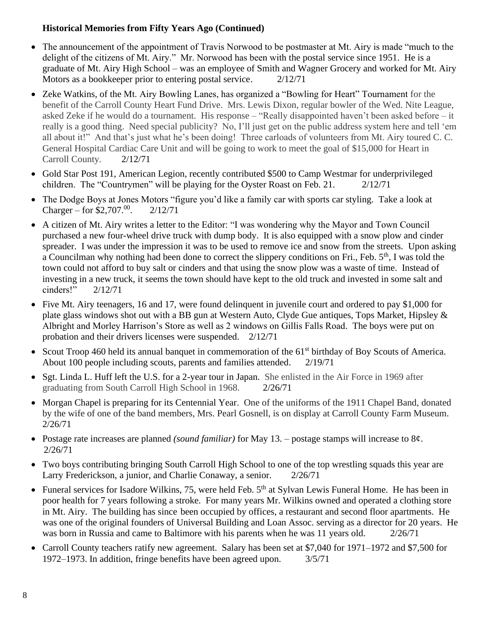### **Historical Memories from Fifty Years Ago (Continued)**

- The announcement of the appointment of Travis Norwood to be postmaster at Mt. Airy is made "much to the delight of the citizens of Mt. Airy." Mr. Norwood has been with the postal service since 1951. He is a graduate of Mt. Airy High School – was an employee of Smith and Wagner Grocery and worked for Mt. Airy Motors as a bookkeeper prior to entering postal service. 2/12/71
- Zeke Watkins, of the Mt. Airy Bowling Lanes, has organized a "Bowling for Heart" Tournament for the benefit of the Carroll County Heart Fund Drive. Mrs. Lewis Dixon, regular bowler of the Wed. Nite League, asked Zeke if he would do a tournament. His response – "Really disappointed haven't been asked before – it really is a good thing. Need special publicity? No, I'll just get on the public address system here and tell 'em all about it!" And that's just what he's been doing! Three carloads of volunteers from Mt. Airy toured C. C. General Hospital Cardiac Care Unit and will be going to work to meet the goal of \$15,000 for Heart in Carroll County. 2/12/71
- Gold Star Post 191, American Legion, recently contributed \$500 to Camp Westmar for underprivileged children. The "Countrymen" will be playing for the Oyster Roast on Feb. 21. 2/12/71
- The Dodge Boys at Jones Motors "figure you'd like a family car with sports car styling. Take a look at Charger – for  $$2,707$ .<sup>00</sup>. . 2/12/71
- A citizen of Mt. Airy writes a letter to the Editor: "I was wondering why the Mayor and Town Council purchased a new four-wheel drive truck with dump body. It is also equipped with a snow plow and cinder spreader. I was under the impression it was to be used to remove ice and snow from the streets. Upon asking a Councilman why nothing had been done to correct the slippery conditions on Fri., Feb. 5<sup>th</sup>, I was told the town could not afford to buy salt or cinders and that using the snow plow was a waste of time. Instead of investing in a new truck, it seems the town should have kept to the old truck and invested in some salt and cinders!" 2/12/71
- Five Mt. Airy teenagers, 16 and 17, were found delinguent in juvenile court and ordered to pay \$1,000 for plate glass windows shot out with a BB gun at Western Auto, Clyde Gue antiques, Tops Market, Hipsley & Albright and Morley Harrison's Store as well as 2 windows on Gillis Falls Road. The boys were put on probation and their drivers licenses were suspended. 2/12/71
- Scout Troop 460 held its annual banquet in commemoration of the 61<sup>st</sup> birthday of Boy Scouts of America. About 100 people including scouts, parents and families attended. 2/19/71
- Sgt. Linda L. Huff left the U.S. for a 2-year tour in Japan. She enlisted in the Air Force in 1969 after graduating from South Carroll High School in 1968. 2/26/71
- Morgan Chapel is preparing for its Centennial Year. One of the uniforms of the 1911 Chapel Band, donated by the wife of one of the band members, Mrs. Pearl Gosnell, is on display at Carroll County Farm Museum. 2/26/71
- Postage rate increases are planned *(sound familiar)* for May 13. postage stamps will increase to 8¢. 2/26/71
- Two boys contributing bringing South Carroll High School to one of the top wrestling squads this year are Larry Frederickson, a junior, and Charlie Conaway, a senior. 2/26/71
- Funeral services for Isadore Wilkins, 75, were held Feb. 5<sup>th</sup> at Sylvan Lewis Funeral Home. He has been in poor health for 7 years following a stroke. For many years Mr. Wilkins owned and operated a clothing store in Mt. Airy. The building has since been occupied by offices, a restaurant and second floor apartments. He was one of the original founders of Universal Building and Loan Assoc. serving as a director for 20 years. He was born in Russia and came to Baltimore with his parents when he was 11 years old. 2/26/71
- Carroll County teachers ratify new agreement. Salary has been set at \$7,040 for 1971–1972 and \$7,500 for 1972–1973. In addition, fringe benefits have been agreed upon. 3/5/71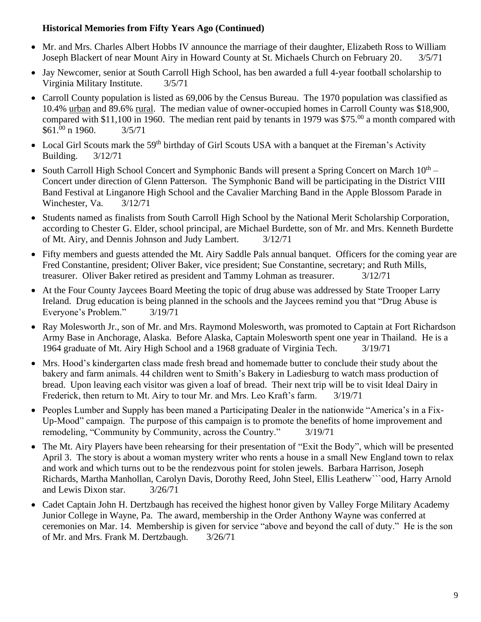#### **Historical Memories from Fifty Years Ago (Continued)**

- Mr. and Mrs. Charles Albert Hobbs IV announce the marriage of their daughter, Elizabeth Ross to William Joseph Blackert of near Mount Airy in Howard County at St. Michaels Church on February 20. 3/5/71
- Jay Newcomer, senior at South Carroll High School, has ben awarded a full 4-year football scholarship to Virginia Military Institute. 3/5/71
- Carroll County population is listed as 69,006 by the Census Bureau. The 1970 population was classified as 10.4% urban and 89.6% rural. The median value of owner-occupied homes in Carroll County was \$18,900, compared with \$11,100 in 1960. The median rent paid by tenants in 1979 was \$75.<sup>00</sup> a month compared with  $$61.<sup>00</sup>$  n 1960.  $3/5/71$
- Local Girl Scouts mark the 59<sup>th</sup> birthday of Girl Scouts USA with a banquet at the Fireman's Activity Building. 3/12/71
- South Carroll High School Concert and Symphonic Bands will present a Spring Concert on March  $10^{th}$  Concert under direction of Glenn Patterson. The Symphonic Band will be participating in the District VIII Band Festival at Linganore High School and the Cavalier Marching Band in the Apple Blossom Parade in Winchester, Va. 3/12/71
- Students named as finalists from South Carroll High School by the National Merit Scholarship Corporation, according to Chester G. Elder, school principal, are Michael Burdette, son of Mr. and Mrs. Kenneth Burdette of Mt. Airy, and Dennis Johnson and Judy Lambert. 3/12/71
- Fifty members and guests attended the Mt. Airy Saddle Pals annual banquet. Officers for the coming year are Fred Constantine, president; Oliver Baker, vice president; Sue Constantine, secretary; and Ruth Mills, treasurer. Oliver Baker retired as president and Tammy Lohman as treasurer. 3/12/71
- At the Four County Jaycees Board Meeting the topic of drug abuse was addressed by State Trooper Larry Ireland. Drug education is being planned in the schools and the Jaycees remind you that "Drug Abuse is Everyone's Problem." 3/19/71
- Ray Molesworth Jr., son of Mr. and Mrs. Raymond Molesworth, was promoted to Captain at Fort Richardson Army Base in Anchorage, Alaska. Before Alaska, Captain Molesworth spent one year in Thailand. He is a 1964 graduate of Mt. Airy High School and a 1968 graduate of Virginia Tech. 3/19/71
- Mrs. Hood's kindergarten class made fresh bread and homemade butter to conclude their study about the bakery and farm animals. 44 children went to Smith's Bakery in Ladiesburg to watch mass production of bread. Upon leaving each visitor was given a loaf of bread. Their next trip will be to visit Ideal Dairy in Frederick, then return to Mt. Airy to tour Mr. and Mrs. Leo Kraft's farm. 3/19/71
- Peoples Lumber and Supply has been maned a Participating Dealer in the nationwide "America's in a Fix-Up-Mood" campaign. The purpose of this campaign is to promote the benefits of home improvement and remodeling, "Community by Community, across the Country." 3/19/71
- The Mt. Airy Players have been rehearsing for their presentation of "Exit the Body", which will be presented April 3. The story is about a woman mystery writer who rents a house in a small New England town to relax and work and which turns out to be the rendezvous point for stolen jewels. Barbara Harrison, Joseph Richards, Martha Manhollan, Carolyn Davis, Dorothy Reed, John Steel, Ellis Leatherw```ood, Harry Arnold and Lewis Dixon star. 3/26/71
- Cadet Captain John H. Dertzbaugh has received the highest honor given by Valley Forge Military Academy Junior College in Wayne, Pa. The award, membership in the Order Anthony Wayne was conferred at ceremonies on Mar. 14. Membership is given for service "above and beyond the call of duty." He is the son of Mr. and Mrs. Frank M. Dertzbaugh. 3/26/71